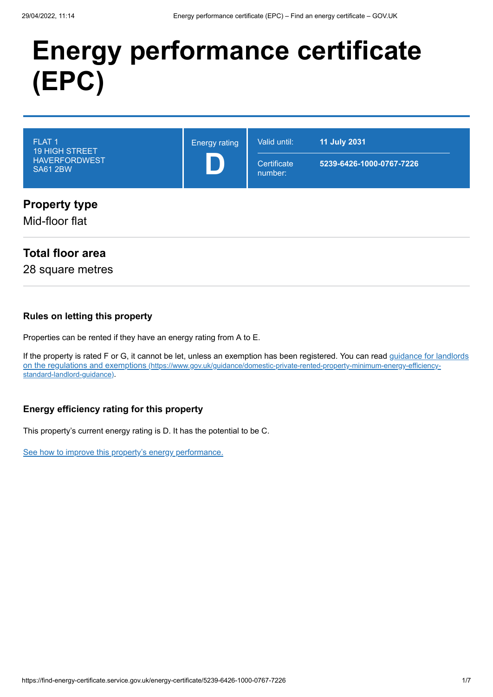# **Energy performance certificate (EPC)**

| FLAT <sub>1</sub><br><b>19 HIGH STREET</b><br><b>HAVERFORDWEST</b><br><b>SA61 2BW</b> | <b>Energy rating</b> | Valid until:<br>Certificate<br>number: | <b>11 July 2031</b><br>5239-6426-1000-0767-7226 |
|---------------------------------------------------------------------------------------|----------------------|----------------------------------------|-------------------------------------------------|
| <b>Property type</b><br>Mid-floor flat                                                |                      |                                        |                                                 |

# **Total floor area**

28 square metres

#### **Rules on letting this property**

Properties can be rented if they have an energy rating from A to E.

[If the property is rated F or G, it cannot be let, unless an exemption has been registered. You can read guidance for landlords](https://www.gov.uk/guidance/domestic-private-rented-property-minimum-energy-efficiency-standard-landlord-guidance) on the regulations and exemptions (https://www.gov.uk/guidance/domestic-private-rented-property-minimum-energy-efficiencystandard-landlord-guidance).

### **Energy efficiency rating for this property**

This property's current energy rating is D. It has the potential to be C.

[See how to improve this property's energy performance.](#page-3-0)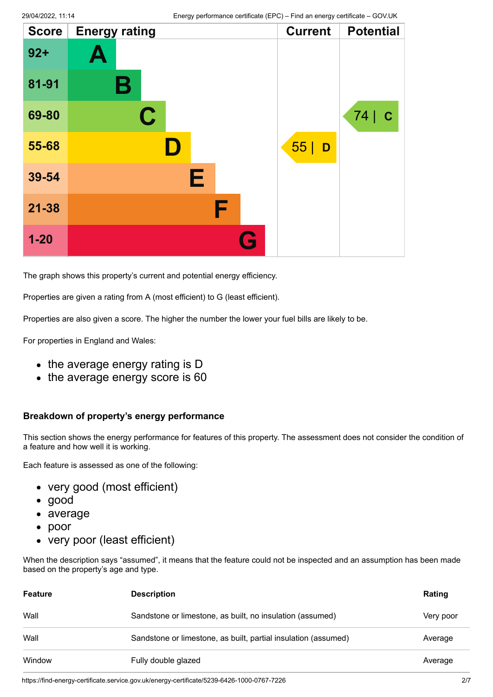| <b>Score</b> | <b>Energy rating</b> |   | <b>Current</b> | <b>Potential</b>   |
|--------------|----------------------|---|----------------|--------------------|
| $92 +$       | Ą                    |   |                |                    |
| 81-91        | В                    |   |                |                    |
| 69-80        | $\mathbf C$          |   |                | 74 <br>$\mathbf C$ |
| 55-68        | D                    |   | 55<br>D        |                    |
| 39-54        | E                    |   |                |                    |
| $21 - 38$    | F                    |   |                |                    |
| $1 - 20$     |                      | G |                |                    |

The graph shows this property's current and potential energy efficiency.

Properties are given a rating from A (most efficient) to G (least efficient).

Properties are also given a score. The higher the number the lower your fuel bills are likely to be.

For properties in England and Wales:

- the average energy rating is D
- the average energy score is 60

#### **Breakdown of property's energy performance**

This section shows the energy performance for features of this property. The assessment does not consider the condition of a feature and how well it is working.

Each feature is assessed as one of the following:

- very good (most efficient)
- good
- average
- poor
- very poor (least efficient)

When the description says "assumed", it means that the feature could not be inspected and an assumption has been made based on the property's age and type.

| <b>Feature</b> | <b>Description</b>                                             | Rating    |
|----------------|----------------------------------------------------------------|-----------|
| Wall           | Sandstone or limestone, as built, no insulation (assumed)      | Very poor |
| Wall           | Sandstone or limestone, as built, partial insulation (assumed) | Average   |
| Window         | Fully double glazed                                            | Average   |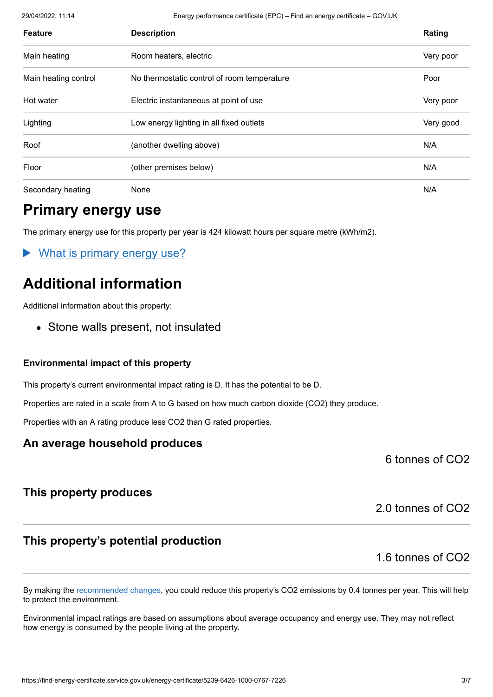29/04/2022, 11:14 Energy performance certificate (EPC) – Find an energy certificate – GOV.UK

| <b>Feature</b>       | <b>Description</b>                          | Rating    |
|----------------------|---------------------------------------------|-----------|
| Main heating         | Room heaters, electric                      | Very poor |
| Main heating control | No thermostatic control of room temperature | Poor      |
| Hot water            | Electric instantaneous at point of use      | Very poor |
| Lighting             | Low energy lighting in all fixed outlets    | Very good |
| Roof                 | (another dwelling above)                    | N/A       |
| Floor                | (other premises below)                      | N/A       |
| Secondary heating    | None                                        | N/A       |

# **Primary energy use**

The primary energy use for this property per year is 424 kilowatt hours per square metre (kWh/m2).

What is primary energy use?

# **Additional information**

Additional information about this property:

• Stone walls present, not insulated

#### **Environmental impact of this property**

This property's current environmental impact rating is D. It has the potential to be D.

Properties are rated in a scale from A to G based on how much carbon dioxide (CO2) they produce.

Properties with an A rating produce less CO2 than G rated properties.

### **An average household produces**

6 tonnes of CO2

# **This property produces**

# **This property's potential production**

1.6 tonnes of CO2

2.0 tonnes of CO2

By making the [recommended changes](#page-3-0), you could reduce this property's CO2 emissions by 0.4 tonnes per year. This will help to protect the environment.

Environmental impact ratings are based on assumptions about average occupancy and energy use. They may not reflect how energy is consumed by the people living at the property.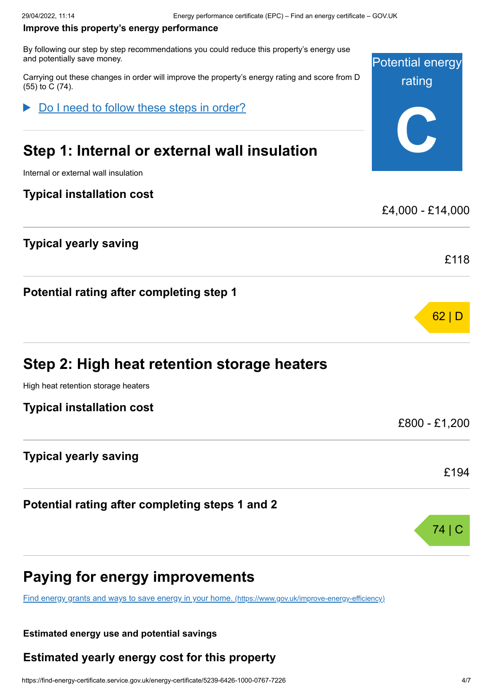#### <span id="page-3-0"></span>**Improve this property's energy performance**

By following our step by step recommendations you could reduce this property's energy use and potentially save money.

Carrying out these changes in order will improve the property's energy rating and score from D (55) to C (74).

Do I need to follow these steps in order?

# **Step 1: Internal or external wall insulation**

Internal or external wall insulation

### **Typical installation cost**

### **Typical yearly saving**

**Potential rating after completing step 1**

|  | Step 2: High heat retention storage heaters |  |  |
|--|---------------------------------------------|--|--|
|--|---------------------------------------------|--|--|

High heat retention storage heaters

| <b>Typical installation cost</b> |  |  |
|----------------------------------|--|--|
|                                  |  |  |

### **Typical yearly saving**

**Potential rating after completing steps 1 and 2**

# **Paying for energy improvements**

[Find energy grants and ways to save energy in your home.](https://www.gov.uk/improve-energy-efficiency) (https://www.gov.uk/improve-energy-efficiency)

#### **Estimated energy use and potential savings**

### **Estimated yearly energy cost for this property**



£4,000 - £14,000

62 | D

£118

£800 - £1,200

£194

74 | C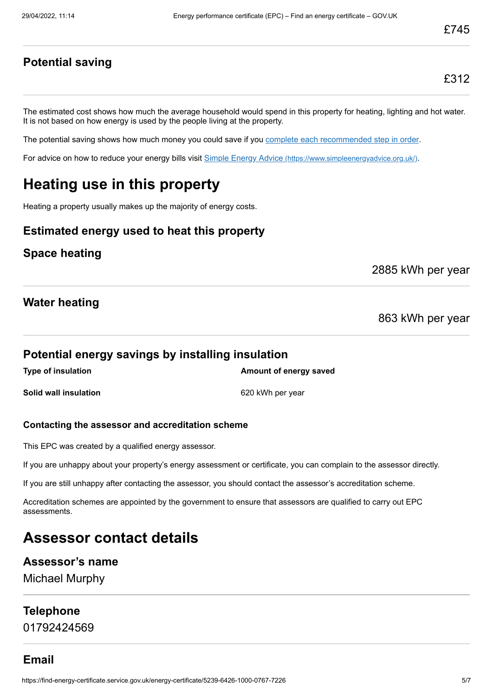**Potential saving**

The estimated cost shows how much the average household would spend in this property for heating, lighting and hot water. It is not based on how energy is used by the people living at the property.

The potential saving shows how much money you could save if you [complete each recommended step in order](#page-3-0).

For advice on how to reduce your energy bills visit Simple Energy Advice [\(https://www.simpleenergyadvice.org.uk/\)](https://www.simpleenergyadvice.org.uk/).

# **Heating use in this property**

Heating a property usually makes up the majority of energy costs.

# **Estimated energy used to heat this property**

### **Space heating**

2885 kWh per year

### **Water heating**

863 kWh per year

#### **Potential energy savings by installing insulation**

**Type of insulation Amount of energy saved Solid wall insulation** 620 kWh per year

#### **Contacting the assessor and accreditation scheme**

This EPC was created by a qualified energy assessor.

If you are unhappy about your property's energy assessment or certificate, you can complain to the assessor directly.

If you are still unhappy after contacting the assessor, you should contact the assessor's accreditation scheme.

Accreditation schemes are appointed by the government to ensure that assessors are qualified to carry out EPC assessments.

# **Assessor contact details**

#### **Assessor's name**

Michael Murphy

#### **Telephone**

01792424569

# **Email**

https://find-energy-certificate.service.gov.uk/energy-certificate/5239-6426-1000-0767-7226 5/7